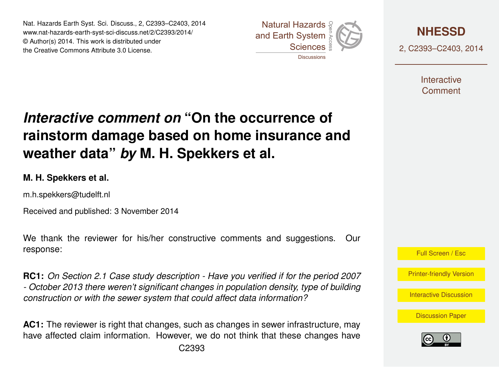Nat. Hazards Earth Syst. Sci. Discuss., 2, C2393–C2403, 2014 www.nat-hazards-earth-syst-sci-discuss.net/2/C2393/2014/ © Author(s) 2014. This work is distributed under the Creative Commons Attribute 3.0 License.





2, C2393–C2403, 2014

**Interactive** Comment

# *Interactive comment on* **"On the occurrence of rainstorm damage based on home insurance and weather data"** *by* **M. H. Spekkers et al.**

#### **M. H. Spekkers et al.**

m.h.spekkers@tudelft.nl

Received and published: 3 November 2014

We thank the reviewer for his/her constructive comments and suggestions. Our response:

**RC1:** *On Section 2.1 Case study description - Have you verified if for the period 2007 - October 2013 there weren't significant changes in population density, type of building construction or with the sewer system that could affect data information?*

**AC1:** The reviewer is right that changes, such as changes in sewer infrastructure, may have affected claim information. However, we do not think that these changes have



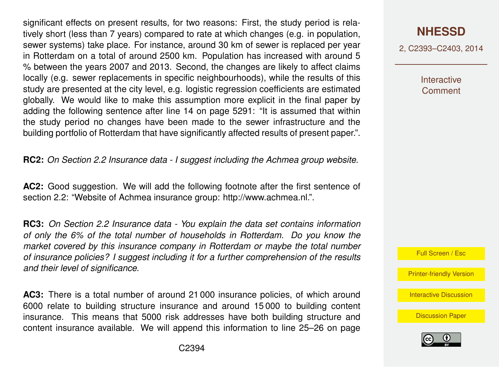significant effects on present results, for two reasons: First, the study period is relatively short (less than 7 years) compared to rate at which changes (e.g. in population, sewer systems) take place. For instance, around 30 km of sewer is replaced per year in Rotterdam on a total of around 2500 km. Population has increased with around 5 % between the years 2007 and 2013. Second, the changes are likely to affect claims locally (e.g. sewer replacements in specific neighbourhoods), while the results of this study are presented at the city level, e.g. logistic regression coefficients are estimated globally. We would like to make this assumption more explicit in the final paper by adding the following sentence after line 14 on page 5291: "It is assumed that within the study period no changes have been made to the sewer infrastructure and the building portfolio of Rotterdam that have significantly affected results of present paper.".

**RC2:** *On Section 2.2 Insurance data - I suggest including the Achmea group website.*

**AC2:** Good suggestion. We will add the following footnote after the first sentence of section 2.2: "Website of Achmea insurance group: [http://www.achmea.nl.](http://www.achmea.nl)".

**RC3:** *On Section 2.2 Insurance data - You explain the data set contains information of only the 6% of the total number of households in Rotterdam. Do you know the market covered by this insurance company in Rotterdam or maybe the total number of insurance policies? I suggest including it for a further comprehension of the results and their level of significance.*

**AC3:** There is a total number of around 21 000 insurance policies, of which around 6000 relate to building structure insurance and around 15 000 to building content insurance. This means that 5000 risk addresses have both building structure and content insurance available. We will append this information to line 25–26 on page **[NHESSD](http://www.nat-hazards-earth-syst-sci-discuss.net)**

2, C2393–C2403, 2014

Interactive **Comment** 



[Printer-friendly Version](http://www.nat-hazards-earth-syst-sci-discuss.net/2/C2393/2014/nhessd-2-C2393-2014-print.pdf)

[Interactive Discussion](http://www.nat-hazards-earth-syst-sci-discuss.net/2/5287/2014/nhessd-2-5287-2014-discussion.html)

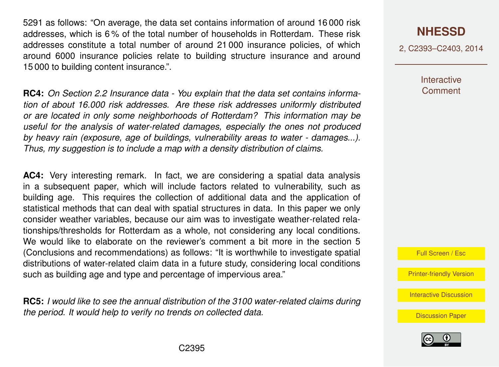5291 as follows: "On average, the data set contains information of around 16 000 risk addresses, which is 6 % of the total number of households in Rotterdam. These risk addresses constitute a total number of around 21 000 insurance policies, of which around 6000 insurance policies relate to building structure insurance and around 15 000 to building content insurance.".

**RC4:** *On Section 2.2 Insurance data - You explain that the data set contains information of about 16.000 risk addresses. Are these risk addresses uniformly distributed or are located in only some neighborhoods of Rotterdam? This information may be useful for the analysis of water-related damages, especially the ones not produced by heavy rain (exposure, age of buildings, vulnerability areas to water - damages...). Thus, my suggestion is to include a map with a density distribution of claims.*

**AC4:** Very interesting remark. In fact, we are considering a spatial data analysis in a subsequent paper, which will include factors related to vulnerability, such as building age. This requires the collection of additional data and the application of statistical methods that can deal with spatial structures in data. In this paper we only consider weather variables, because our aim was to investigate weather-related relationships/thresholds for Rotterdam as a whole, not considering any local conditions. We would like to elaborate on the reviewer's comment a bit more in the section 5 (Conclusions and recommendations) as follows: "It is worthwhile to investigate spatial distributions of water-related claim data in a future study, considering local conditions such as building age and type and percentage of impervious area."

**RC5:** *I would like to see the annual distribution of the 3100 water-related claims during the period. It would help to verify no trends on collected data.*

### **[NHESSD](http://www.nat-hazards-earth-syst-sci-discuss.net)**

2, C2393–C2403, 2014

**Interactive Comment** 

Full Screen / Esc

[Printer-friendly Version](http://www.nat-hazards-earth-syst-sci-discuss.net/2/C2393/2014/nhessd-2-C2393-2014-print.pdf)

[Interactive Discussion](http://www.nat-hazards-earth-syst-sci-discuss.net/2/5287/2014/nhessd-2-5287-2014-discussion.html)

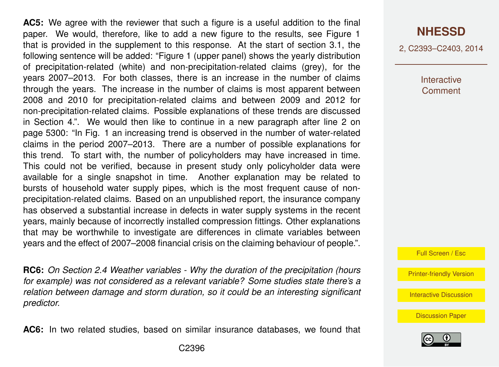**AC5:** We agree with the reviewer that such a figure is a useful addition to the final paper. We would, therefore, like to add a new figure to the results, see Figure 1 that is provided in the supplement to this response. At the start of section 3.1, the following sentence will be added: "Figure 1 (upper panel) shows the yearly distribution of precipitation-related (white) and non-precipitation-related claims (grey), for the years 2007–2013. For both classes, there is an increase in the number of claims through the years. The increase in the number of claims is most apparent between 2008 and 2010 for precipitation-related claims and between 2009 and 2012 for non-precipitation-related claims. Possible explanations of these trends are discussed in Section 4.". We would then like to continue in a new paragraph after line 2 on page 5300: "In Fig. 1 an increasing trend is observed in the number of water-related claims in the period 2007–2013. There are a number of possible explanations for this trend. To start with, the number of policyholders may have increased in time. This could not be verified, because in present study only policyholder data were available for a single snapshot in time. Another explanation may be related to bursts of household water supply pipes, which is the most frequent cause of nonprecipitation-related claims. Based on an unpublished report, the insurance company has observed a substantial increase in defects in water supply systems in the recent years, mainly because of incorrectly installed compression fittings. Other explanations that may be worthwhile to investigate are differences in climate variables between years and the effect of 2007–2008 financial crisis on the claiming behaviour of people.".

**RC6:** *On Section 2.4 Weather variables - Why the duration of the precipitation (hours for example) was not considered as a relevant variable? Some studies state there's a relation between damage and storm duration, so it could be an interesting significant predictor.*

**AC6:** In two related studies, based on similar insurance databases, we found that

#### **[NHESSD](http://www.nat-hazards-earth-syst-sci-discuss.net)**

2, C2393–C2403, 2014

**Interactive Comment** 



[Printer-friendly Version](http://www.nat-hazards-earth-syst-sci-discuss.net/2/C2393/2014/nhessd-2-C2393-2014-print.pdf)

[Interactive Discussion](http://www.nat-hazards-earth-syst-sci-discuss.net/2/5287/2014/nhessd-2-5287-2014-discussion.html)

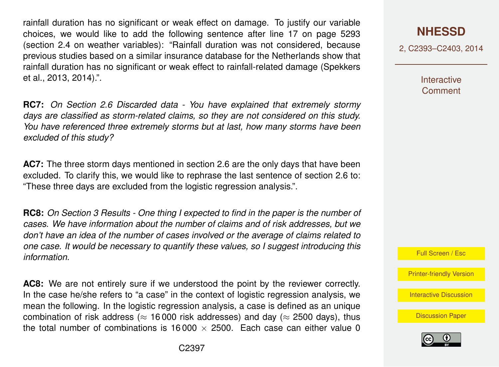rainfall duration has no significant or weak effect on damage. To justify our variable choices, we would like to add the following sentence after line 17 on page 5293 (section 2.4 on weather variables): "Rainfall duration was not considered, because previous studies based on a similar insurance database for the Netherlands show that rainfall duration has no significant or weak effect to rainfall-related damage [\(Spekkers](#page-9-0) [et al.,](#page-9-0) [2013,](#page-9-0) [2014\)](#page-9-0).".

**RC7:** *On Section 2.6 Discarded data - You have explained that extremely stormy days are classified as storm-related claims, so they are not considered on this study. You have referenced three extremely storms but at last, how many storms have been excluded of this study?*

**AC7:** The three storm days mentioned in section 2.6 are the only days that have been excluded. To clarify this, we would like to rephrase the last sentence of section 2.6 to: "These three days are excluded from the logistic regression analysis.".

**RC8:** *On Section 3 Results - One thing I expected to find in the paper is the number of cases. We have information about the number of claims and of risk addresses, but we don't have an idea of the number of cases involved or the average of claims related to one case. It would be necessary to quantify these values, so I suggest introducing this information.*

**AC8:** We are not entirely sure if we understood the point by the reviewer correctly. In the case he/she refers to "a case" in the context of logistic regression analysis, we mean the following. In the logistic regression analysis, a case is defined as an unique combination of risk address ( $\approx$  16000 risk addresses) and day ( $\approx$  2500 days), thus the total number of combinations is  $16000 \times 2500$ . Each case can either value 0 2, C2393–C2403, 2014

**Interactive Comment** 



[Printer-friendly Version](http://www.nat-hazards-earth-syst-sci-discuss.net/2/C2393/2014/nhessd-2-C2393-2014-print.pdf)

[Interactive Discussion](http://www.nat-hazards-earth-syst-sci-discuss.net/2/5287/2014/nhessd-2-5287-2014-discussion.html)

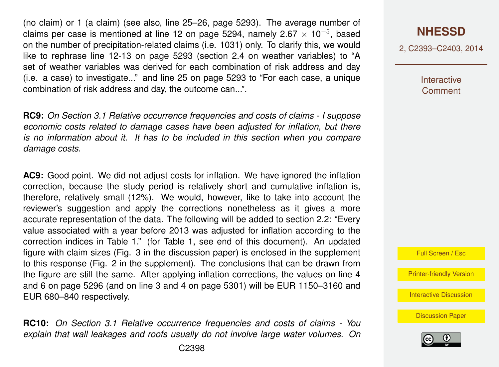(no claim) or 1 (a claim) (see also, line 25–26, page 5293). The average number of claims per case is mentioned at line 12 on page 5294, namely 2.67  $\times$  10<sup>-5</sup>, based on the number of precipitation-related claims (i.e. 1031) only. To clarify this, we would like to rephrase line 12-13 on page 5293 (section 2.4 on weather variables) to "A set of weather variables was derived for each combination of risk address and day (i.e. a case) to investigate..." and line 25 on page 5293 to "For each case, a unique combination of risk address and day, the outcome can...".

**RC9:** *On Section 3.1 Relative occurrence frequencies and costs of claims - I suppose economic costs related to damage cases have been adjusted for inflation, but there is no information about it. It has to be included in this section when you compare damage costs.*

**AC9:** Good point. We did not adjust costs for inflation. We have ignored the inflation correction, because the study period is relatively short and cumulative inflation is, therefore, relatively small (12%). We would, however, like to take into account the reviewer's suggestion and apply the corrections nonetheless as it gives a more accurate representation of the data. The following will be added to section 2.2: "Every value associated with a year before 2013 was adjusted for inflation according to the correction indices in Table [1.](#page-10-0)" (for Table [1,](#page-10-0) see end of this document). An updated figure with claim sizes (Fig. 3 in the discussion paper) is enclosed in the supplement to this response (Fig. 2 in the supplement). The conclusions that can be drawn from the figure are still the same. After applying inflation corrections, the values on line 4 and 6 on page 5296 (and on line 3 and 4 on page 5301) will be EUR 1150–3160 and EUR 680–840 respectively.

**RC10:** *On Section 3.1 Relative occurrence frequencies and costs of claims - You explain that wall leakages and roofs usually do not involve large water volumes. On*

2, C2393–C2403, 2014

**Interactive Comment** 



[Printer-friendly Version](http://www.nat-hazards-earth-syst-sci-discuss.net/2/C2393/2014/nhessd-2-C2393-2014-print.pdf)

[Interactive Discussion](http://www.nat-hazards-earth-syst-sci-discuss.net/2/5287/2014/nhessd-2-5287-2014-discussion.html)

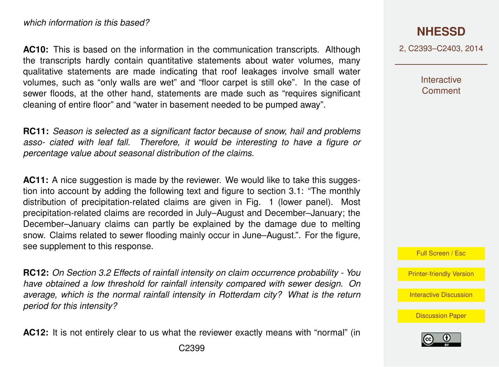**AC10:** This is based on the information in the communication transcripts. Although the transcripts hardly contain quantitative statements about water volumes, many qualitative statements are made indicating that roof leakages involve small water volumes, such as "only walls are wet" and "floor carpet is still oke". In the case of sewer floods, at the other hand, statements are made such as "requires significant cleaning of entire floor" and "water in basement needed to be pumped away".

**RC11:** *Season is selected as a significant factor because of snow, hail and problems asso- ciated with leaf fall. Therefore, it would be interesting to have a figure or percentage value about seasonal distribution of the claims.*

**AC11:** A nice suggestion is made by the reviewer. We would like to take this suggestion into account by adding the following text and figure to section 3.1: "The monthly distribution of precipitation-related claims are given in Fig. 1 (lower panel). Most precipitation-related claims are recorded in July–August and December–January; the December–January claims can partly be explained by the damage due to melting snow. Claims related to sewer flooding mainly occur in June–August.". For the figure, see supplement to this response.

**RC12:** *On Section 3.2 Effects of rainfall intensity on claim occurrence probability - You have obtained a low threshold for rainfall intensity compared with sewer design. On average, which is the normal rainfall intensity in Rotterdam city? What is the return period for this intensity?*

**AC12:** It is not entirely clear to us what the reviewer exactly means with "normal" (in

2, C2393–C2403, 2014

**Interactive Comment** 

Full Screen / Esc

[Printer-friendly Version](http://www.nat-hazards-earth-syst-sci-discuss.net/2/C2393/2014/nhessd-2-C2393-2014-print.pdf)

[Interactive Discussion](http://www.nat-hazards-earth-syst-sci-discuss.net/2/5287/2014/nhessd-2-5287-2014-discussion.html)

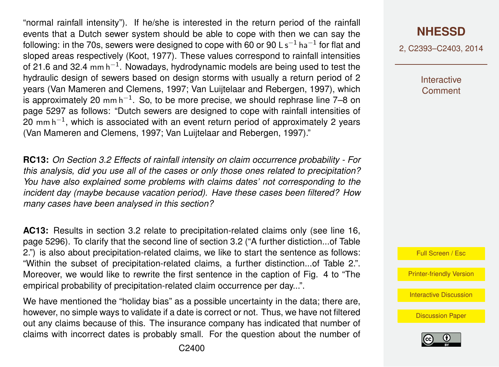"normal rainfall intensity"). If he/she is interested in the return period of the rainfall events that a Dutch sewer system should be able to cope with then we can say the following: in the 70s, sewers were designed to cope with 60 or 90 L s $^{\rm -1}$  ha $^{\rm -1}$  for flat and sloped areas respectively [\(Koot,](#page-9-0) [1977\)](#page-9-0). These values correspond to rainfall intensities of 21.6 and 32.4 mm h<sup>-1</sup>. Nowadays, hydrodynamic models are being used to test the hydraulic design of sewers based on design storms with usually a return period of 2 years [\(Van Mameren and Clemens,](#page-9-0) [1997;](#page-9-0) [Van Luijtelaar and Rebergen,](#page-9-0) [1997\)](#page-9-0), which is approximately 20 mm h<sup>-1</sup>. So, to be more precise, we should rephrase line 7–8 on page 5297 as follows: "Dutch sewers are designed to cope with rainfall intensities of 20 mm h $^{-1}$ , which is associated with an event return period of approximately 2 years [\(Van Mameren and Clemens,](#page-9-0) [1997;](#page-9-0) [Van Luijtelaar and Rebergen,](#page-9-0) [1997\)](#page-9-0)."

**RC13:** *On Section 3.2 Effects of rainfall intensity on claim occurrence probability - For this analysis, did you use all of the cases or only those ones related to precipitation? You have also explained some problems with claims dates' not corresponding to the incident day (maybe because vacation period). Have these cases been filtered? How many cases have been analysed in this section?*

**AC13:** Results in section 3.2 relate to precipitation-related claims only (see line 16, page 5296). To clarify that the second line of section 3.2 ("A further distiction...of Table 2.") is also about precipitation-related claims, we like to start the sentence as follows: "Within the subset of precipitation-related claims, a further distinction...of Table 2.". Moreover, we would like to rewrite the first sentence in the caption of Fig. 4 to "The empirical probability of precipitation-related claim occurrence per day...".

We have mentioned the "holiday bias" as a possible uncertainty in the data; there are, however, no simple ways to validate if a date is correct or not. Thus, we have not filtered out any claims because of this. The insurance company has indicated that number of claims with incorrect dates is probably small. For the question about the number of 2, C2393–C2403, 2014

Interactive **Comment** 



[Printer-friendly Version](http://www.nat-hazards-earth-syst-sci-discuss.net/2/C2393/2014/nhessd-2-C2393-2014-print.pdf)

[Interactive Discussion](http://www.nat-hazards-earth-syst-sci-discuss.net/2/5287/2014/nhessd-2-5287-2014-discussion.html)

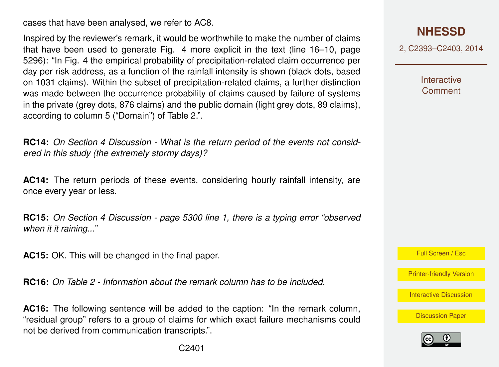cases that have been analysed, we refer to AC8.

Inspired by the reviewer's remark, it would be worthwhile to make the number of claims that have been used to generate Fig. 4 more explicit in the text (line 16–10, page 5296): "In Fig. 4 the empirical probability of precipitation-related claim occurrence per day per risk address, as a function of the rainfall intensity is shown (black dots, based on 1031 claims). Within the subset of precipitation-related claims, a further distinction was made between the occurrence probability of claims caused by failure of systems in the private (grey dots, 876 claims) and the public domain (light grey dots, 89 claims), according to column 5 ("Domain") of Table 2.".

**RC14:** *On Section 4 Discussion - What is the return period of the events not considered in this study (the extremely stormy days)?*

**AC14:** The return periods of these events, considering hourly rainfall intensity, are once every year or less.

**RC15:** *On Section 4 Discussion - page 5300 line 1, there is a typing error "observed when it it raining..."*

**AC15:** OK. This will be changed in the final paper.

**RC16:** *On Table 2 - Information about the remark column has to be included.*

**AC16:** The following sentence will be added to the caption: "In the remark column, "residual group" refers to a group of claims for which exact failure mechanisms could not be derived from communication transcripts.".

**[NHESSD](http://www.nat-hazards-earth-syst-sci-discuss.net)**

2, C2393–C2403, 2014

**Interactive Comment** 

Full Screen / Esc

[Printer-friendly Version](http://www.nat-hazards-earth-syst-sci-discuss.net/2/C2393/2014/nhessd-2-C2393-2014-print.pdf)

[Interactive Discussion](http://www.nat-hazards-earth-syst-sci-discuss.net/2/5287/2014/nhessd-2-5287-2014-discussion.html)

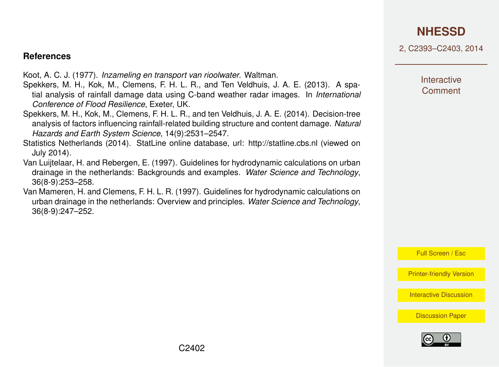## **[NHESSD](http://www.nat-hazards-earth-syst-sci-discuss.net)**

2, C2393–C2403, 2014

#### <span id="page-9-0"></span>**References**

Koot, A. C. J. (1977). *Inzameling en transport van rioolwater*. Waltman.

- Spekkers, M. H., Kok, M., Clemens, F. H. L. R., and Ten Veldhuis, J. A. E. (2013). A spatial analysis of rainfall damage data using C-band weather radar images. In *International Conference of Flood Resilience*, Exeter, UK.
- Spekkers, M. H., Kok, M., Clemens, F. H. L. R., and ten Veldhuis, J. A. E. (2014). Decision-tree analysis of factors influencing rainfall-related building structure and content damage. *Natural Hazards and Earth System Science*, 14(9):2531–2547.
- Statistics Netherlands (2014). StatLine online database, url: http://statline.cbs.nl (viewed on July 2014).
- Van Luijtelaar, H. and Rebergen, E. (1997). Guidelines for hydrodynamic calculations on urban drainage in the netherlands: Backgrounds and examples. *Water Science and Technology*, 36(8-9):253–258.
- Van Mameren, H. and Clemens, F. H. L. R. (1997). Guidelines for hydrodynamic calculations on urban drainage in the netherlands: Overview and principles. *Water Science and Technology*, 36(8-9):247–252.

**Interactive Comment** 

Full Screen / Esc

[Printer-friendly Version](http://www.nat-hazards-earth-syst-sci-discuss.net/2/C2393/2014/nhessd-2-C2393-2014-print.pdf)

[Interactive Discussion](http://www.nat-hazards-earth-syst-sci-discuss.net/2/5287/2014/nhessd-2-5287-2014-discussion.html)